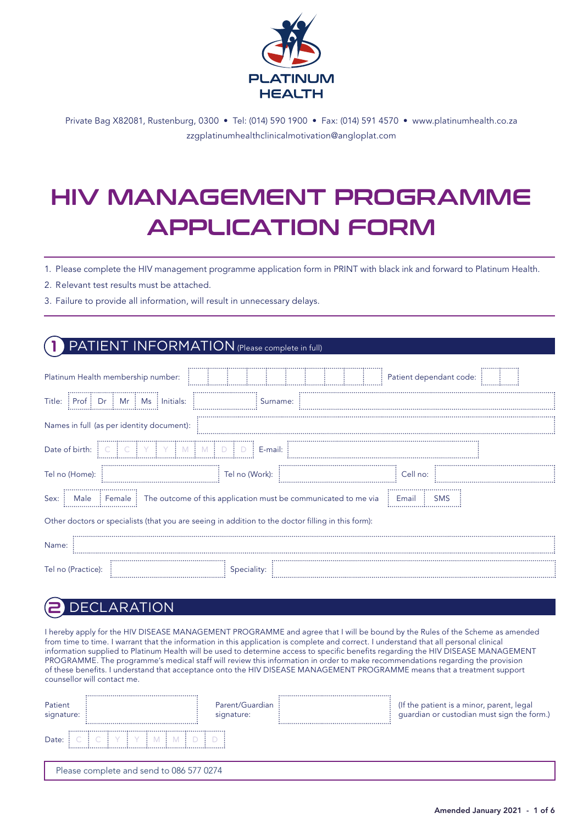

Private Bag X82081, Rustenburg, 0300 • Tel: (014) 590 1900 • Fax: (014) 591 4570 • www.platinumhealth.co.za zzgplatinumhealthclinicalmotivation@angloplat.com

# HIV MANAGEMENT PROGRAMME APPLICATION FORM

1. Please complete the HIV management programme application form in PRINT with black ink and forward to Platinum Health.

2. Relevant test results must be attached.

3. Failure to provide all information, will result in unnecessary delays.

#### PATIENT INFORMATION (Please complete in full)

| Platinum Health membership number:                                                                            |                            | Patient dependant code: |  |  |  |  |  |
|---------------------------------------------------------------------------------------------------------------|----------------------------|-------------------------|--|--|--|--|--|
| Title: Prof : Dr : Mr : Ms : Initials:                                                                        | Surname:                   |                         |  |  |  |  |  |
| Names in full (as per identity document):                                                                     |                            |                         |  |  |  |  |  |
| Date of birth:                                                                                                | $\triangleright$ : E-mail: |                         |  |  |  |  |  |
| Tel no (Home):                                                                                                | Tel no (Work):             | Cell no:                |  |  |  |  |  |
| Sex:<br>Male : Female : The outcome of this application must be communicated to me via<br>Email<br><b>SMS</b> |                            |                         |  |  |  |  |  |
| Other doctors or specialists (that you are seeing in addition to the doctor filling in this form):            |                            |                         |  |  |  |  |  |
| Name:                                                                                                         |                            |                         |  |  |  |  |  |
| Tel no (Practice):                                                                                            | Speciality:                |                         |  |  |  |  |  |

#### **DECLARATION**

I hereby apply for the HIV DISEASE MANAGEMENT PROGRAMME and agree that I will be bound by the Rules of the Scheme as amended from time to time. I warrant that the information in this application is complete and correct. I understand that all personal clinical information supplied to Platinum Health will be used to determine access to specific benefits regarding the HIV DISEASE MANAGEMENT PROGRAMME. The programme's medical staff will review this information in order to make recommendations regarding the provision of these benefits. I understand that acceptance onto the HIV DISEASE MANAGEMENT PROGRAMME means that a treatment support counsellor will contact me.

| Patient<br>signature: |                                          | Parent/Guardian<br>signature: |  | (If the patient is a minor, parent, legal<br>guardian or custodian must sign the form.) |  |  |  |
|-----------------------|------------------------------------------|-------------------------------|--|-----------------------------------------------------------------------------------------|--|--|--|
| Date:                 |                                          |                               |  |                                                                                         |  |  |  |
|                       | Please complete and send to 086 577 0274 |                               |  |                                                                                         |  |  |  |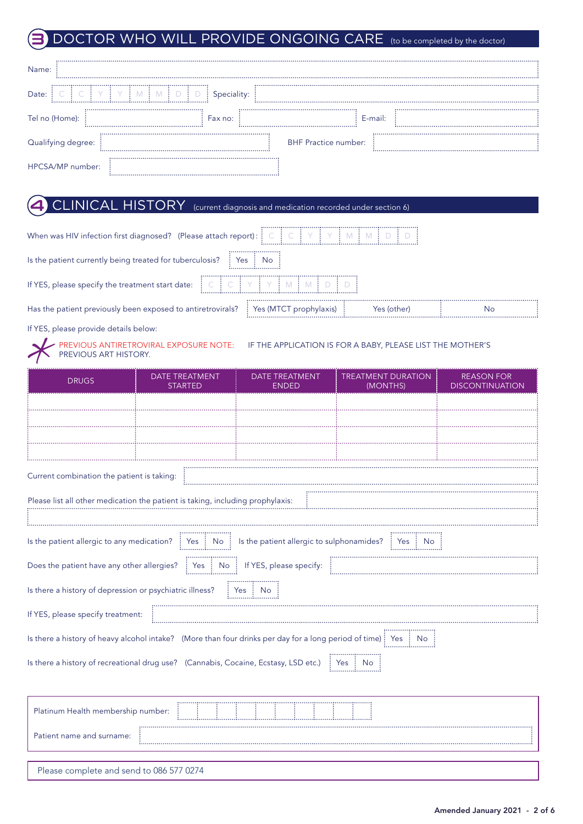## **3** DOCTOR WHO WILL PROVIDE ONGOING CARE (to be completed by the doctor)

| Name:              |             |                             |  |
|--------------------|-------------|-----------------------------|--|
| Date:              | Speciality: |                             |  |
| Tel no (Home):     | Fax no:     | E-mail:                     |  |
| Qualifying degree: |             | <b>BHF Practice number:</b> |  |
| HPCSA/MP number:   |             |                             |  |

### **4** CLINICAL HISTORY (current diagnosis and medication recorded under section 6)

| When was HIV infection first diagnosed? (Please attach report): $\vdots \in C \vdots \subseteq C \vdots \cap C \vdots \cap C \vdots \cap C \vdots$                                                                                                                                                                                                                                                                                                                               |                                       |                                |                                       |                                             |  |  |  |
|----------------------------------------------------------------------------------------------------------------------------------------------------------------------------------------------------------------------------------------------------------------------------------------------------------------------------------------------------------------------------------------------------------------------------------------------------------------------------------|---------------------------------------|--------------------------------|---------------------------------------|---------------------------------------------|--|--|--|
| Yes : No<br>Is the patient currently being treated for tuberculosis?                                                                                                                                                                                                                                                                                                                                                                                                             |                                       |                                |                                       |                                             |  |  |  |
| If YES, please specify the treatment start date: $\begin{bmatrix} \cdot & \cdot & \cdot \\ \cdot & \cdot & \cdot \\ \cdot & \cdot & \cdot \end{bmatrix}$ $\begin{bmatrix} \cdot & \cdot & \cdot \\ \cdot & \cdot & \cdot \\ \cdot & \cdot & \cdot \end{bmatrix}$ $\begin{bmatrix} \cdot & \cdot & \cdot \\ \cdot & \cdot & \cdot \\ \cdot & \cdot & \cdot \end{bmatrix}$ $\begin{bmatrix} \cdot & \cdot & \cdot \\ \cdot & \cdot & \cdot \\ \cdot & \cdot & \cdot \end{bmatrix}$ |                                       |                                |                                       |                                             |  |  |  |
| Has the patient previously been exposed to antiretrovirals?<br>: Yes (MTCT prophylaxis)<br>Yes (other)<br>No                                                                                                                                                                                                                                                                                                                                                                     |                                       |                                |                                       |                                             |  |  |  |
|                                                                                                                                                                                                                                                                                                                                                                                                                                                                                  | If YES, please provide details below: |                                |                                       |                                             |  |  |  |
| PREVIOUS ANTIRETROVIRAL EXPOSURE NOTE: IF THE APPLICATION IS FOR A BABY, PLEASE LIST THE MOTHER'S<br>PREVIOUS ART HISTORY.                                                                                                                                                                                                                                                                                                                                                       |                                       |                                |                                       |                                             |  |  |  |
| <b>DRUGS</b>                                                                                                                                                                                                                                                                                                                                                                                                                                                                     | DATE TREATMENT<br><b>STARTED</b>      | DATE TREATMENT<br><b>FNDFD</b> | <b>TREATMENT DURATION</b><br>(MONTHS) | <b>REASON FOR</b><br><b>DISCONTINUATION</b> |  |  |  |

|                                                                                                                                                                          | JIMNUL                             |                          | $\sqrt{2}$ |  |  |  |  |  |  |
|--------------------------------------------------------------------------------------------------------------------------------------------------------------------------|------------------------------------|--------------------------|------------|--|--|--|--|--|--|
|                                                                                                                                                                          |                                    |                          |            |  |  |  |  |  |  |
|                                                                                                                                                                          |                                    |                          |            |  |  |  |  |  |  |
|                                                                                                                                                                          |                                    |                          |            |  |  |  |  |  |  |
|                                                                                                                                                                          |                                    |                          |            |  |  |  |  |  |  |
| Current combination the patient is taking:                                                                                                                               |                                    |                          |            |  |  |  |  |  |  |
| Please list all other medication the patient is taking, including prophylaxis:                                                                                           |                                    |                          |            |  |  |  |  |  |  |
|                                                                                                                                                                          |                                    |                          |            |  |  |  |  |  |  |
| Is the patient allergic to any medication? $\frac{1}{2}$ Yes $\frac{1}{2}$ No $\frac{1}{2}$ Is the patient allergic to sulphonamides? $\frac{1}{2}$ Yes $\frac{1}{2}$ No |                                    |                          |            |  |  |  |  |  |  |
| Does the patient have any other allergies? $\frac{1}{2}$ Yes $\frac{1}{2}$ No $\frac{1}{2}$ If YES, please specify:                                                      |                                    |                          |            |  |  |  |  |  |  |
| Is there a history of depression or psychiatric illness?                                                                                                                 |                                    | $\vdots$ Yes $\vdots$ No |            |  |  |  |  |  |  |
| If YES, please specify treatment:                                                                                                                                        |                                    |                          |            |  |  |  |  |  |  |
| Is there a history of heavy alcohol intake? (More than four drinks per day for a long period of time) $\frac{1}{2}$ Yes $\frac{1}{2}$ No                                 |                                    |                          |            |  |  |  |  |  |  |
| Is there a history of recreational drug use? (Cannabis, Cocaine, Ecstasy, LSD etc.) : Yes : No                                                                           |                                    |                          |            |  |  |  |  |  |  |
|                                                                                                                                                                          |                                    |                          |            |  |  |  |  |  |  |
|                                                                                                                                                                          | Platinum Health membership number: |                          |            |  |  |  |  |  |  |
| Patient name and surname:                                                                                                                                                |                                    |                          |            |  |  |  |  |  |  |
|                                                                                                                                                                          |                                    |                          |            |  |  |  |  |  |  |
| Please complete and send to 086 577 0274                                                                                                                                 |                                    |                          |            |  |  |  |  |  |  |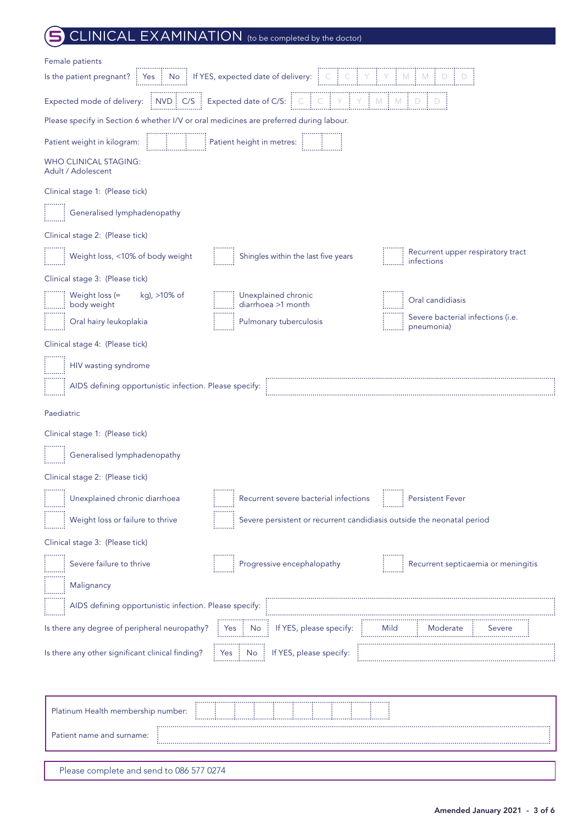### CLINICAL EXAMINATION (to be completed by the doctor)

| Female patients                                                                                                                                                                                                                          |                                                                        |                                                 |
|------------------------------------------------------------------------------------------------------------------------------------------------------------------------------------------------------------------------------------------|------------------------------------------------------------------------|-------------------------------------------------|
| Is the patient pregnant? [Yes   No   If YES, expected date of delivery: $\begin{bmatrix} C & C & C & \gamma & M & M & D & D & D \end{bmatrix}$                                                                                           |                                                                        |                                                 |
| Expected mode of delivery: $\begin{bmatrix} 1 & 0 & 0 \\ 0 & 0 & 0 \\ 0 & 0 & 0 \end{bmatrix}$ ( $\begin{bmatrix} 0 & 0 & 0 \\ 0 & 0 & 0 \\ 0 & 0 & 0 \end{bmatrix}$ $\begin{bmatrix} 0 & 0 & 0 \\ 0 & 0 & 0 \\ 0 & 0 & 0 \end{bmatrix}$ |                                                                        |                                                 |
| Please specify in Section 6 whether I/V or oral medicines are preferred during labour.                                                                                                                                                   |                                                                        |                                                 |
| Patient weight in kilogram:                                                                                                                                                                                                              | <b>Example 2</b> Patient height in metres: <b>All and September 2</b>  |                                                 |
| WHO CLINICAL STAGING:<br>Adult / Adolescent                                                                                                                                                                                              |                                                                        |                                                 |
| Clinical stage 1: (Please tick)                                                                                                                                                                                                          |                                                                        |                                                 |
| Generalised lymphadenopathy                                                                                                                                                                                                              |                                                                        |                                                 |
| Clinical stage 2: (Please tick)                                                                                                                                                                                                          |                                                                        |                                                 |
| Weight loss, <10% of body weight                                                                                                                                                                                                         | Shingles within the last five years                                    | Recurrent upper respiratory tract<br>infections |
| Clinical stage 3: (Please tick)                                                                                                                                                                                                          |                                                                        |                                                 |
| kg), >10% of<br>Weight loss (=                                                                                                                                                                                                           | Unexplained chronic<br>diarrhoea >1 month                              | Oral candidiasis                                |
| Oral hairy leukoplakia                                                                                                                                                                                                                   | Pulmonary tuberculosis                                                 | Severe bacterial infections (i.e.<br>pneumonia) |
| Clinical stage 4: (Please tick)                                                                                                                                                                                                          |                                                                        |                                                 |
| HIV wasting syndrome                                                                                                                                                                                                                     |                                                                        |                                                 |
| AIDS defining opportunistic infection. Please specify:                                                                                                                                                                                   |                                                                        |                                                 |
| Paediatric                                                                                                                                                                                                                               |                                                                        |                                                 |
| Clinical stage 1: (Please tick)                                                                                                                                                                                                          |                                                                        |                                                 |
| Generalised lymphadenopathy                                                                                                                                                                                                              |                                                                        |                                                 |
| Clinical stage 2: (Please tick)                                                                                                                                                                                                          |                                                                        |                                                 |
| Unexplained chronic diarrhoea                                                                                                                                                                                                            | Recurrent severe bacterial infections                                  | <b>Persistent Fever</b>                         |
| Weight loss or failure to thrive                                                                                                                                                                                                         | Severe persistent or recurrent candidiasis outside the neonatal period |                                                 |
| Clinical stage 3: (Please tick)                                                                                                                                                                                                          |                                                                        |                                                 |
| Severe failure to thrive                                                                                                                                                                                                                 | Progressive encephalopathy                                             | Recurrent septicaemia or meningitis             |
| Malignancy                                                                                                                                                                                                                               |                                                                        |                                                 |
| AIDS defining opportunistic infection. Please specify:                                                                                                                                                                                   |                                                                        |                                                 |
| Is there any degree of peripheral neuropathy?                                                                                                                                                                                            | If YES, please specify:<br>No<br>Yes                                   |                                                 |
| Is there any other significant clinical finding?                                                                                                                                                                                         | If YES, please specify:                                                |                                                 |
|                                                                                                                                                                                                                                          |                                                                        |                                                 |
|                                                                                                                                                                                                                                          |                                                                        |                                                 |
| Platinum Health membership number                                                                                                                                                                                                        |                                                                        |                                                 |

| Platinum Health membership number:       |  |  |  |  |  |  |
|------------------------------------------|--|--|--|--|--|--|
| Patient name and surname:                |  |  |  |  |  |  |
|                                          |  |  |  |  |  |  |
| Please complete and send to 086 577 0274 |  |  |  |  |  |  |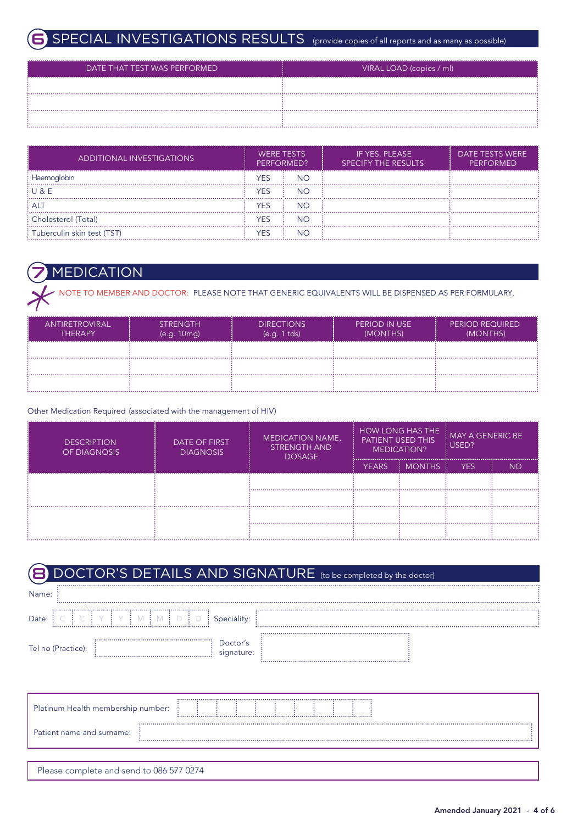### SPECIAL INVESTIGATIONS RESULTS (provide copies of all reports and as many as possible)

| DATE THAT TEST WAS PERFORMED | VIRAL LOAD (copies / ml) |
|------------------------------|--------------------------|
|                              |                          |
|                              |                          |
|                              |                          |

| ADDITIONAL INVESTIGATIONS  | <b>WERE TESTS</b><br>PERFORMED? |           |  |  | IF YES, PLEASE<br><b>SPECIFY THE RESULTS</b> | DATE TESTS WERE<br><b>PERFORMED</b> |
|----------------------------|---------------------------------|-----------|--|--|----------------------------------------------|-------------------------------------|
| Haemoglobin                | YES                             | <b>NO</b> |  |  |                                              |                                     |
| $: \cup \& \vdash$         | <b>YES</b>                      | <b>NO</b> |  |  |                                              |                                     |
| : Al                       | YES                             | NΟ        |  |  |                                              |                                     |
| : Cholesterol (Total)      | <b>YES</b>                      | NC        |  |  |                                              |                                     |
| Tuberculin skin test (TST) | YES                             | NC        |  |  |                                              |                                     |

#### **MEDICATION**

NOTE TO MEMBER AND DOCTOR: PLEASE NOTE THAT GENERIC EQUIVALENTS WILL BE DISPENSED AS PER FORMULARY.

| <br>IANTIRETROVIRAL'<br><b>THERAPY</b> | <b>STRENGTH</b><br>(e.q. 10mq) | <b>DIRECTIONS</b><br>(e.g. 1 tds) | PERIOD IN USE<br>(MONTHS) | <b>PERIOD REQUIRED</b><br>(MONTHS) |
|----------------------------------------|--------------------------------|-----------------------------------|---------------------------|------------------------------------|
|                                        |                                |                                   |                           |                                    |
|                                        |                                |                                   |                           |                                    |
|                                        |                                |                                   |                           |                                    |

#### Other Medication Required (associated with the management of HIV)

| <b>DESCRIPTION</b><br>OF DIAGNOSIS | DATE OF FIRST<br><b>DIAGNOSIS</b> | <b>MEDICATION NAME,</b><br><b>STRENGTH AND</b><br><b>DOSAGE</b> | <b>HOW LONG HAS THE</b><br><b>MAY A GENERIC BE</b><br>PATIENT USED THIS<br>USED?<br>MEDICATION? |               |      |     |  |
|------------------------------------|-----------------------------------|-----------------------------------------------------------------|-------------------------------------------------------------------------------------------------|---------------|------|-----|--|
|                                    |                                   |                                                                 | YEARS.                                                                                          | <b>MONTHS</b> | YES. | NO. |  |
|                                    |                                   |                                                                 |                                                                                                 |               |      |     |  |
|                                    |                                   |                                                                 |                                                                                                 |               |      |     |  |
|                                    |                                   |                                                                 |                                                                                                 |               |      |     |  |
|                                    |                                   |                                                                 |                                                                                                 |               |      |     |  |

|       | DOCTOR'S DETAILS AND SIGNATURE (to be completed by the doctor) |  |
|-------|----------------------------------------------------------------|--|
| Name: |                                                                |  |
| Date: |                                                                |  |
|       | Tel no (Practice):<br>iqnature:                                |  |

| Platinum Health membership number:       |  |  |  |  |  |  |  |  |  |  |  |  |
|------------------------------------------|--|--|--|--|--|--|--|--|--|--|--|--|
| Patient name and surname:                |  |  |  |  |  |  |  |  |  |  |  |  |
|                                          |  |  |  |  |  |  |  |  |  |  |  |  |
| Please complete and send to 086 577 0274 |  |  |  |  |  |  |  |  |  |  |  |  |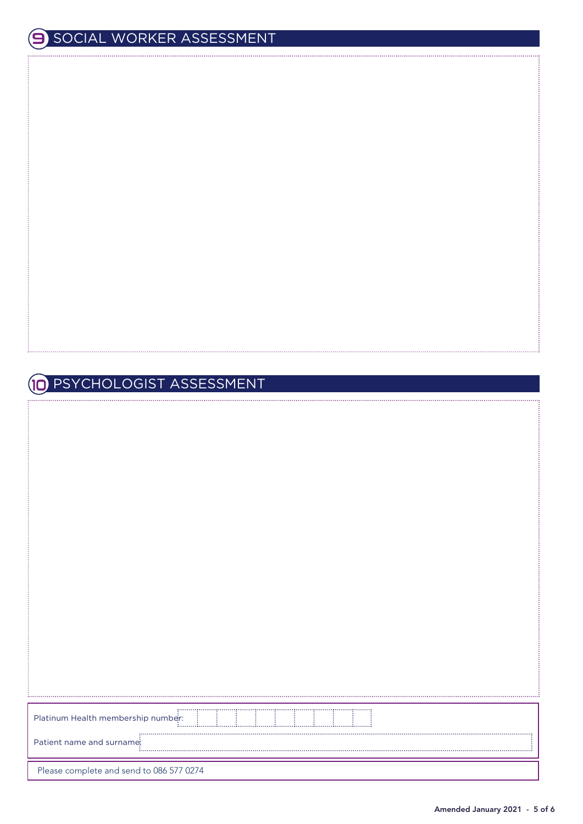#### PSYCHOLOGIST ASSESSMENT 10

| Platinum Health membership number:       |  |  |  |  |  |
|------------------------------------------|--|--|--|--|--|
| Patient name and surname:                |  |  |  |  |  |
| Please complete and send to 086 577 0274 |  |  |  |  |  |